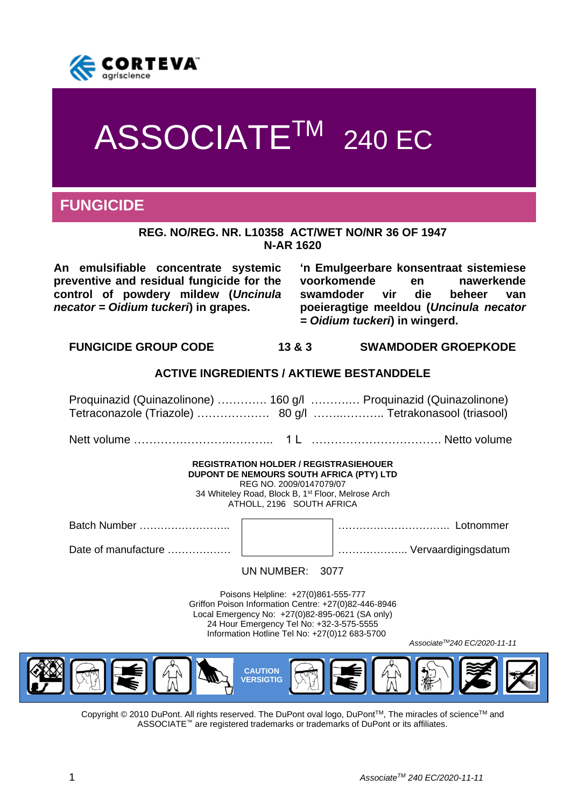

# ASSOCIATE<sup>TM</sup> 240 EC

# **FUNGICIDE**

#### **REG. NO/REG. NR. L10358 ACT/WET NO/NR 36 OF 1947 N-AR 1620**

**An emulsifiable concentrate systemic preventive and residual fungicide for the control of powdery mildew (***Uncinula necator = Oidium tuckeri***) in grapes.**

**'n Emulgeerbare konsentraat sistemiese voorkomende en nawerkende swamdoder vir die beheer van poeieragtige meeldou (***Uncinula necator = Oidium tuckeri***) in wingerd.**

**FUNGICIDE GROUP CODE 13 & 3 SWAMDODER GROEPKODE**

# **ACTIVE INGREDIENTS / AKTIEWE BESTANDDELE**

Proquinazid (Quinazolinone) …………. 160 g/l ……….… Proquinazid (Quinazolinone) Tetraconazole (Triazole) ………………. 80 g/l ……..……….. Tetrakonasool (triasool)

Nett volume ……………………..……….. 1 L ……………………………. Netto volume

#### **REGISTRATION HOLDER / REGISTRASIEHOUER DUPONT DE NEMOURS SOUTH AFRICA (PTY) LTD** REG NO. 2009/0147079/07

34 Whiteley Road, Block B, 1st Floor, Melrose Arch ATHOLL, 2196 SOUTH AFRICA

Batch Number …………………….. ………………………….. Lotnommer

Date of manufacture ……………… ……………….. Vervaardigingsdatum

UN NUMBER: 3077

Poisons Helpline: +27(0)861-555-777 Griffon Poison Information Centre: +27(0)82-446-8946 Local Emergency No: +27(0)82-895-0621 (SA only) 24 Hour Emergency Tel No: +32-3-575-5555 Information Hotline Tel No: +27(0)12 683-5700

*AssociateTM240 EC/2020-11-11*



Copyright © 2010 DuPont. All rights reserved. The DuPont oval logo, DuPont™, The miracles of science™ and ASSOCIATE™ are registered trademarks or trademarks of DuPont or its affiliates.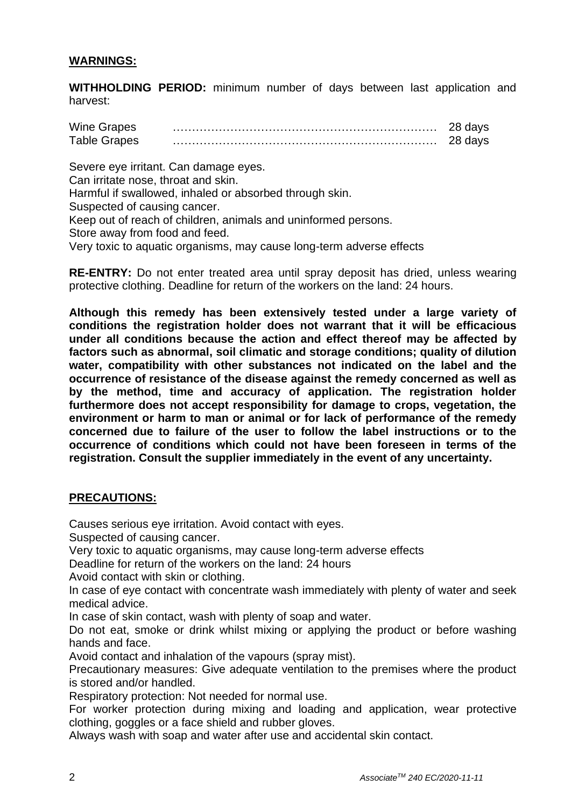# **WARNINGS:**

**WITHHOLDING PERIOD:** minimum number of days between last application and harvest:

| <b>Wine Grapes</b>  |  |
|---------------------|--|
| <b>Table Grapes</b> |  |

Severe eye irritant. Can damage eyes. Can irritate nose, throat and skin. Harmful if swallowed, inhaled or absorbed through skin. Suspected of causing cancer. Keep out of reach of children, animals and uninformed persons. Store away from food and feed. Very toxic to aquatic organisms, may cause long-term adverse effects

**RE-ENTRY:** Do not enter treated area until spray deposit has dried, unless wearing protective clothing. Deadline for return of the workers on the land: 24 hours.

**Although this remedy has been extensively tested under a large variety of conditions the registration holder does not warrant that it will be efficacious under all conditions because the action and effect thereof may be affected by factors such as abnormal, soil climatic and storage conditions; quality of dilution water, compatibility with other substances not indicated on the label and the occurrence of resistance of the disease against the remedy concerned as well as by the method, time and accuracy of application. The registration holder furthermore does not accept responsibility for damage to crops, vegetation, the environment or harm to man or animal or for lack of performance of the remedy concerned due to failure of the user to follow the label instructions or to the occurrence of conditions which could not have been foreseen in terms of the registration. Consult the supplier immediately in the event of any uncertainty.**

# **PRECAUTIONS:**

Causes serious eye irritation. Avoid contact with eyes.

Suspected of causing cancer.

Very toxic to aquatic organisms, may cause long-term adverse effects

Deadline for return of the workers on the land: 24 hours

Avoid contact with skin or clothing.

In case of eye contact with concentrate wash immediately with plenty of water and seek medical advice.

In case of skin contact, wash with plenty of soap and water.

Do not eat, smoke or drink whilst mixing or applying the product or before washing hands and face.

Avoid contact and inhalation of the vapours (spray mist).

Precautionary measures: Give adequate ventilation to the premises where the product is stored and/or handled.

Respiratory protection: Not needed for normal use.

For worker protection during mixing and loading and application, wear protective clothing, goggles or a face shield and rubber gloves.

Always wash with soap and water after use and accidental skin contact.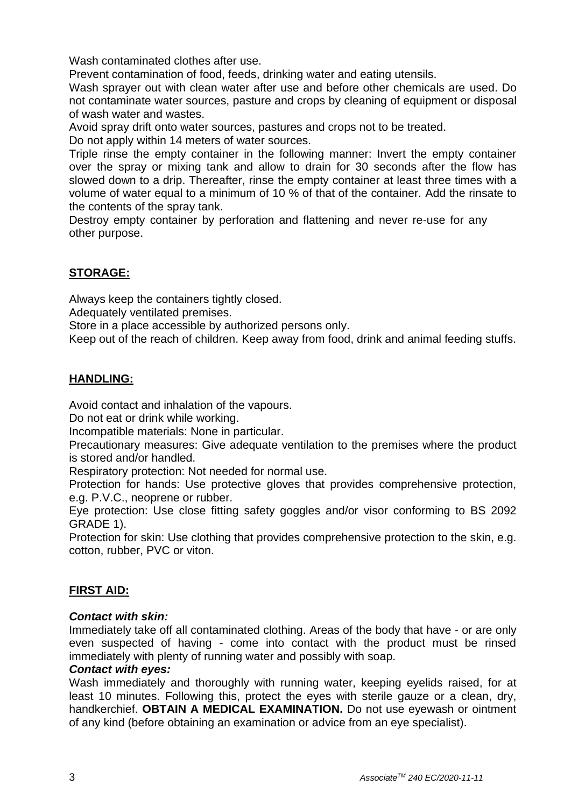Wash contaminated clothes after use.

Prevent contamination of food, feeds, drinking water and eating utensils.

Wash sprayer out with clean water after use and before other chemicals are used. Do not contaminate water sources, pasture and crops by cleaning of equipment or disposal of wash water and wastes.

Avoid spray drift onto water sources, pastures and crops not to be treated.

Do not apply within 14 meters of water sources.

Triple rinse the empty container in the following manner: Invert the empty container over the spray or mixing tank and allow to drain for 30 seconds after the flow has slowed down to a drip. Thereafter, rinse the empty container at least three times with a volume of water equal to a minimum of 10 % of that of the container. Add the rinsate to the contents of the spray tank.

Destroy empty container by perforation and flattening and never re-use for any other purpose.

# **STORAGE:**

Always keep the containers tightly closed.

Adequately ventilated premises.

Store in a place accessible by authorized persons only.

Keep out of the reach of children. Keep away from food, drink and animal feeding stuffs.

# **HANDLING:**

Avoid contact and inhalation of the vapours.

Do not eat or drink while working.

Incompatible materials: None in particular.

Precautionary measures: Give adequate ventilation to the premises where the product is stored and/or handled.

Respiratory protection: Not needed for normal use.

Protection for hands: Use protective gloves that provides comprehensive protection, e.g. P.V.C., neoprene or rubber.

Eye protection: Use close fitting safety goggles and/or visor conforming to BS 2092 GRADE 1).

Protection for skin: Use clothing that provides comprehensive protection to the skin, e.g. cotton, rubber, PVC or viton.

# **FIRST AID:**

# *Contact with skin:*

Immediately take off all contaminated clothing. Areas of the body that have - or are only even suspected of having - come into contact with the product must be rinsed immediately with plenty of running water and possibly with soap.

#### *Contact with eyes:*

Wash immediately and thoroughly with running water, keeping eyelids raised, for at least 10 minutes. Following this, protect the eyes with sterile gauze or a clean, dry, handkerchief. **OBTAIN A MEDICAL EXAMINATION.** Do not use eyewash or ointment of any kind (before obtaining an examination or advice from an eye specialist).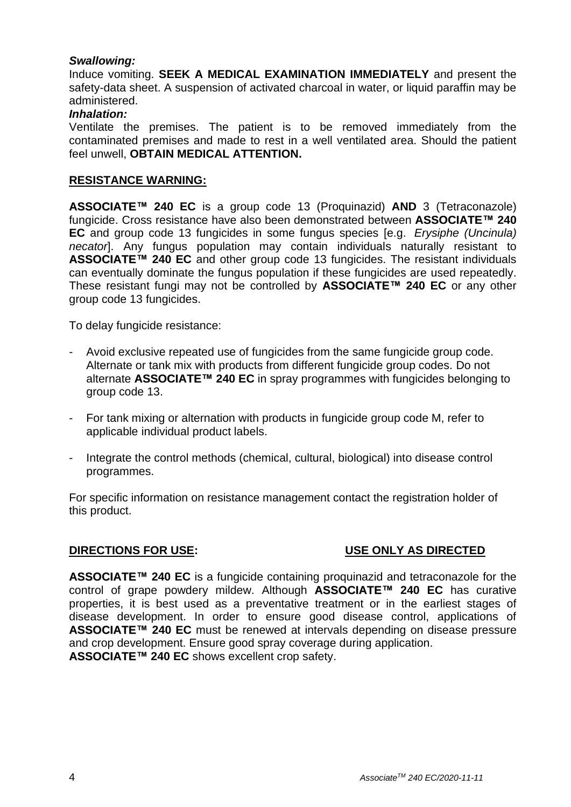# *Swallowing:*

Induce vomiting. **SEEK A MEDICAL EXAMINATION IMMEDIATELY** and present the safety-data sheet. A suspension of activated charcoal in water, or liquid paraffin may be administered.

#### *Inhalation:*

Ventilate the premises. The patient is to be removed immediately from the contaminated premises and made to rest in a well ventilated area. Should the patient feel unwell, **OBTAIN MEDICAL ATTENTION.**

#### **RESISTANCE WARNING:**

**ASSOCIATE™ 240 EC** is a group code 13 (Proquinazid) **AND** 3 (Tetraconazole) fungicide. Cross resistance have also been demonstrated between **ASSOCIATE™ 240 EC** and group code 13 fungicides in some fungus species [e.g. *Erysiphe (Uncinula) necator*]. Any fungus population may contain individuals naturally resistant to **ASSOCIATE™ 240 EC** and other group code 13 fungicides. The resistant individuals can eventually dominate the fungus population if these fungicides are used repeatedly. These resistant fungi may not be controlled by **ASSOCIATE™ 240 EC** or any other group code 13 fungicides.

To delay fungicide resistance:

- Avoid exclusive repeated use of fungicides from the same fungicide group code. Alternate or tank mix with products from different fungicide group codes. Do not alternate **ASSOCIATE™ 240 EC** in spray programmes with fungicides belonging to group code 13.
- For tank mixing or alternation with products in fungicide group code M, refer to applicable individual product labels.
- Integrate the control methods (chemical, cultural, biological) into disease control programmes.

For specific information on resistance management contact the registration holder of this product.

# **DIRECTIONS FOR USE: USE ONLY AS DIRECTED**

**ASSOCIATE™ 240 EC** is a fungicide containing proquinazid and tetraconazole for the control of grape powdery mildew. Although **ASSOCIATE™ 240 EC** has curative properties, it is best used as a preventative treatment or in the earliest stages of disease development. In order to ensure good disease control, applications of **ASSOCIATE™ 240 EC** must be renewed at intervals depending on disease pressure and crop development. Ensure good spray coverage during application. **ASSOCIATE™ 240 EC** shows excellent crop safety.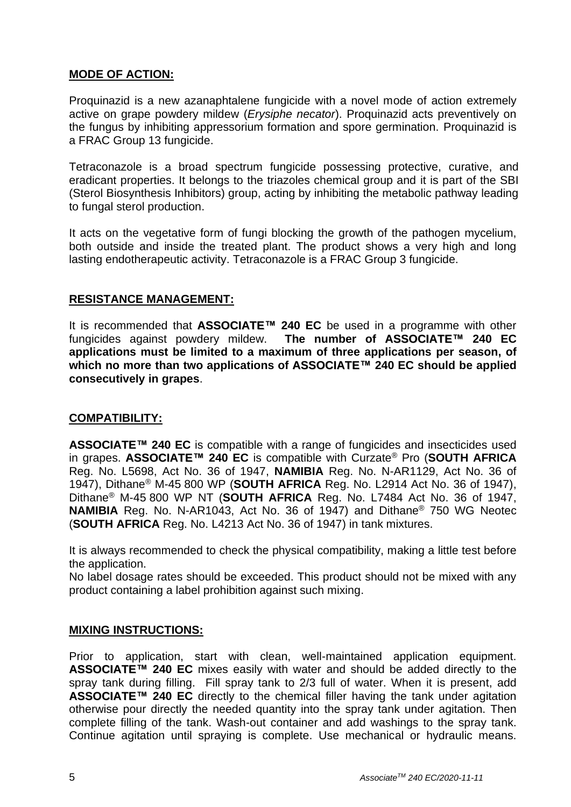# **MODE OF ACTION:**

Proquinazid is a new azanaphtalene fungicide with a novel mode of action extremely active on grape powdery mildew (*Erysiphe necator*). Proquinazid acts preventively on the fungus by inhibiting appressorium formation and spore germination. Proquinazid is a FRAC Group 13 fungicide.

Tetraconazole is a broad spectrum fungicide possessing protective, curative, and eradicant properties. It belongs to the triazoles chemical group and it is part of the SBI (Sterol Biosynthesis Inhibitors) group, acting by inhibiting the metabolic pathway leading to fungal sterol production.

It acts on the vegetative form of fungi blocking the growth of the pathogen mycelium, both outside and inside the treated plant. The product shows a very high and long lasting endotherapeutic activity. Tetraconazole is a FRAC Group 3 fungicide.

# **RESISTANCE MANAGEMENT:**

It is recommended that **ASSOCIATE™ 240 EC** be used in a programme with other fungicides against powdery mildew. **The number of ASSOCIATE™ 240 EC applications must be limited to a maximum of three applications per season, of which no more than two applications of ASSOCIATE™ 240 EC should be applied consecutively in grapes**.

# **COMPATIBILITY:**

**ASSOCIATE™ 240 EC** is compatible with a range of fungicides and insecticides used in grapes. **ASSOCIATE™ 240 EC** is compatible with Curzate® Pro (**SOUTH AFRICA** Reg. No. L5698, Act No. 36 of 1947, **NAMIBIA** Reg. No. N-AR1129, Act No. 36 of 1947), Dithane® M-45 800 WP (**SOUTH AFRICA** Reg. No. L2914 Act No. 36 of 1947), Dithane® M-45 800 WP NT (**SOUTH AFRICA** Reg. No. L7484 Act No. 36 of 1947, **NAMIBIA** Reg. No. N-AR1043, Act No. 36 of 1947) and Dithane® 750 WG Neotec (**SOUTH AFRICA** Reg. No. L4213 Act No. 36 of 1947) in tank mixtures.

It is always recommended to check the physical compatibility, making a little test before the application.

No label dosage rates should be exceeded. This product should not be mixed with any product containing a label prohibition against such mixing.

# **MIXING INSTRUCTIONS:**

Prior to application, start with clean, well-maintained application equipment. **ASSOCIATE™ 240 EC** mixes easily with water and should be added directly to the spray tank during filling. Fill spray tank to 2/3 full of water. When it is present, add **ASSOCIATE™ 240 EC** directly to the chemical filler having the tank under agitation otherwise pour directly the needed quantity into the spray tank under agitation. Then complete filling of the tank. Wash-out container and add washings to the spray tank. Continue agitation until spraying is complete. Use mechanical or hydraulic means.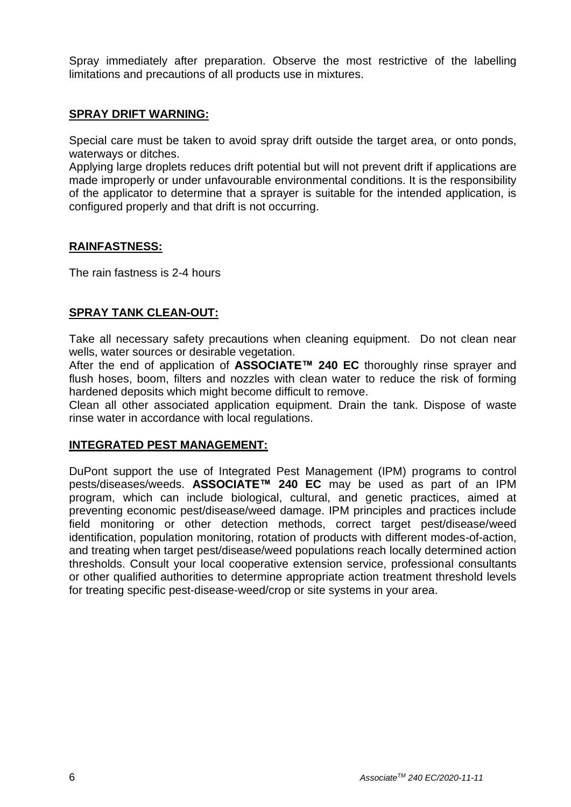Spray immediately after preparation. Observe the most restrictive of the labelling limitations and precautions of all products use in mixtures.

# **SPRAY DRIFT WARNING:**

Special care must be taken to avoid spray drift outside the target area, or onto ponds, waterways or ditches.

Applying large droplets reduces drift potential but will not prevent drift if applications are made improperly or under unfavourable environmental conditions. It is the responsibility of the applicator to determine that a sprayer is suitable for the intended application, is configured properly and that drift is not occurring.

# **RAINFASTNESS:**

The rain fastness is 2-4 hours

# **SPRAY TANK CLEAN-OUT:**

Take all necessary safety precautions when cleaning equipment. Do not clean near wells, water sources or desirable vegetation.

After the end of application of **ASSOCIATE™ 240 EC** thoroughly rinse sprayer and flush hoses, boom, filters and nozzles with clean water to reduce the risk of forming hardened deposits which might become difficult to remove.

Clean all other associated application equipment. Drain the tank. Dispose of waste rinse water in accordance with local regulations.

# **INTEGRATED PEST MANAGEMENT:**

DuPont support the use of Integrated Pest Management (IPM) programs to control pests/diseases/weeds. **ASSOCIATE™ 240 EC** may be used as part of an IPM program, which can include biological, cultural, and genetic practices, aimed at preventing economic pest/disease/weed damage. IPM principles and practices include field monitoring or other detection methods, correct target pest/disease/weed identification, population monitoring, rotation of products with different modes-of-action, and treating when target pest/disease/weed populations reach locally determined action thresholds. Consult your local cooperative extension service, professional consultants or other qualified authorities to determine appropriate action treatment threshold levels for treating specific pest-disease-weed/crop or site systems in your area.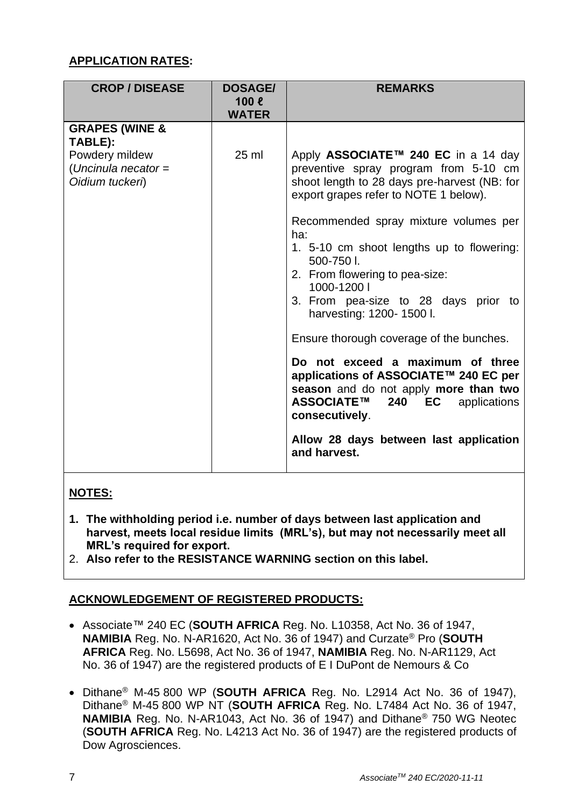# **APPLICATION RATES:**

| <b>CROP / DISEASE</b>                                                                            | <b>DOSAGE/</b><br>$100 \ell$<br><b>WATER</b> | <b>REMARKS</b>                                                                                                                                                                                                                                                                                                                                                                                                                                                                                                                                                                                                                                                                                  |
|--------------------------------------------------------------------------------------------------|----------------------------------------------|-------------------------------------------------------------------------------------------------------------------------------------------------------------------------------------------------------------------------------------------------------------------------------------------------------------------------------------------------------------------------------------------------------------------------------------------------------------------------------------------------------------------------------------------------------------------------------------------------------------------------------------------------------------------------------------------------|
| <b>GRAPES (WINE &amp;</b><br>TABLE):<br>Powdery mildew<br>(Uncinula necator =<br>Oidium tuckeri) | 25 ml                                        | Apply ASSOCIATE™ 240 EC in a 14 day<br>preventive spray program from 5-10 cm<br>shoot length to 28 days pre-harvest (NB: for<br>export grapes refer to NOTE 1 below).<br>Recommended spray mixture volumes per<br>ha:<br>1. 5-10 cm shoot lengths up to flowering:<br>500-750 l.<br>2. From flowering to pea-size:<br>1000-1200  <br>3. From pea-size to 28 days prior to<br>harvesting: 1200- 1500 l.<br>Ensure thorough coverage of the bunches.<br>Do not exceed a maximum of three<br>applications of ASSOCIATE™ 240 EC per<br>season and do not apply more than two<br>ASSOCIATE™<br>240<br>EC<br>applications<br>consecutively.<br>Allow 28 days between last application<br>and harvest. |

# **NOTES:**

- **1. The withholding period i.e. number of days between last application and harvest, meets local residue limits (MRL's), but may not necessarily meet all MRL's required for export.**
- 2. **Also refer to the RESISTANCE WARNING section on this label.**

# **ACKNOWLEDGEMENT OF REGISTERED PRODUCTS:**

- Associate™ 240 EC (**SOUTH AFRICA** Reg. No. L10358, Act No. 36 of 1947, **NAMIBIA** Reg. No. N-AR1620, Act No. 36 of 1947) and Curzate® Pro (**SOUTH AFRICA** Reg. No. L5698, Act No. 36 of 1947, **NAMIBIA** Reg. No. N-AR1129, Act No. 36 of 1947) are the registered products of E I DuPont de Nemours & Co
- Dithane® M-45 800 WP (**SOUTH AFRICA** Reg. No. L2914 Act No. 36 of 1947), Dithane® M-45 800 WP NT (**SOUTH AFRICA** Reg. No. L7484 Act No. 36 of 1947, **NAMIBIA** Reg. No. N-AR1043, Act No. 36 of 1947) and Dithane® 750 WG Neotec (**SOUTH AFRICA** Reg. No. L4213 Act No. 36 of 1947) are the registered products of Dow Agrosciences.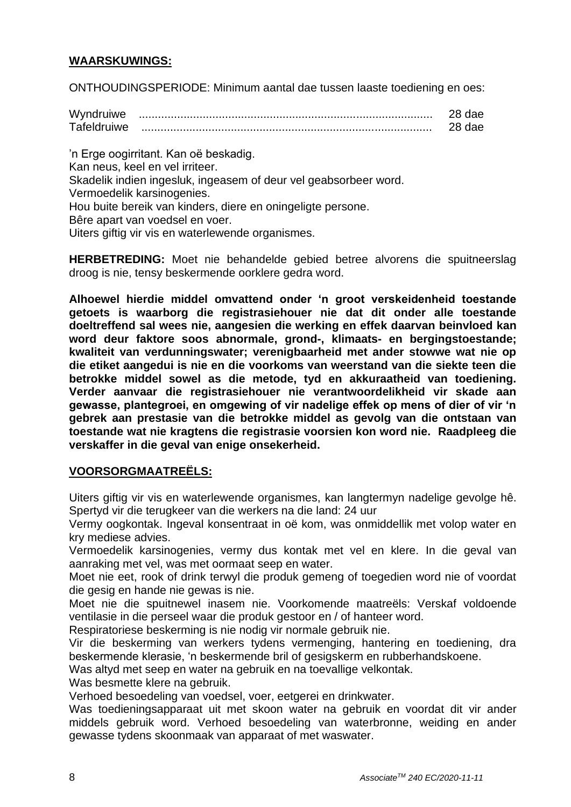# **WAARSKUWINGS:**

ONTHOUDINGSPERIODE: Minimum aantal dae tussen laaste toediening en oes:

| Wyndruiwe   |  |
|-------------|--|
| Tafeldruiwe |  |

'n Erge oogirritant. Kan oë beskadig. Kan neus, keel en vel irriteer. Skadelik indien ingesluk, ingeasem of deur vel geabsorbeer word. Vermoedelik karsinogenies. Hou buite bereik van kinders, diere en oningeligte persone. Bêre apart van voedsel en voer. Uiters giftig vir vis en waterlewende organismes.

**HERBETREDING:** Moet nie behandelde gebied betree alvorens die spuitneerslag droog is nie, tensy beskermende oorklere gedra word.

**Alhoewel hierdie middel omvattend onder 'n groot verskeidenheid toestande getoets is waarborg die registrasiehouer nie dat dit onder alle toestande doeltreffend sal wees nie, aangesien die werking en effek daarvan beinvloed kan word deur faktore soos abnormale, grond-, klimaats- en bergingstoestande; kwaliteit van verdunningswater; verenigbaarheid met ander stowwe wat nie op die etiket aangedui is nie en die voorkoms van weerstand van die siekte teen die betrokke middel sowel as die metode, tyd en akkuraatheid van toediening. Verder aanvaar die registrasiehouer nie verantwoordelikheid vir skade aan gewasse, plantegroei, en omgewing of vir nadelige effek op mens of dier of vir 'n gebrek aan prestasie van die betrokke middel as gevolg van die ontstaan van toestande wat nie kragtens die registrasie voorsien kon word nie. Raadpleeg die verskaffer in die geval van enige onsekerheid.**

# **VOORSORGMAATREËLS:**

Uiters giftig vir vis en waterlewende organismes, kan langtermyn nadelige gevolge hê. Spertyd vir die terugkeer van die werkers na die land: 24 uur

Vermy oogkontak. Ingeval konsentraat in oë kom, was onmiddellik met volop water en kry mediese advies.

Vermoedelik karsinogenies, vermy dus kontak met vel en klere. In die geval van aanraking met vel, was met oormaat seep en water.

Moet nie eet, rook of drink terwyl die produk gemeng of toegedien word nie of voordat die gesig en hande nie gewas is nie.

Moet nie die spuitnewel inasem nie. Voorkomende maatreëls: Verskaf voldoende ventilasie in die perseel waar die produk gestoor en / of hanteer word.

Respiratoriese beskerming is nie nodig vir normale gebruik nie.

Vir die beskerming van werkers tydens vermenging, hantering en toediening, dra beskermende klerasie, 'n beskermende bril of gesigskerm en rubberhandskoene.

Was altyd met seep en water na gebruik en na toevallige velkontak.

Was besmette klere na gebruik.

Verhoed besoedeling van voedsel, voer, eetgerei en drinkwater.

Was toedieningsapparaat uit met skoon water na gebruik en voordat dit vir ander middels gebruik word. Verhoed besoedeling van waterbronne, weiding en ander gewasse tydens skoonmaak van apparaat of met waswater.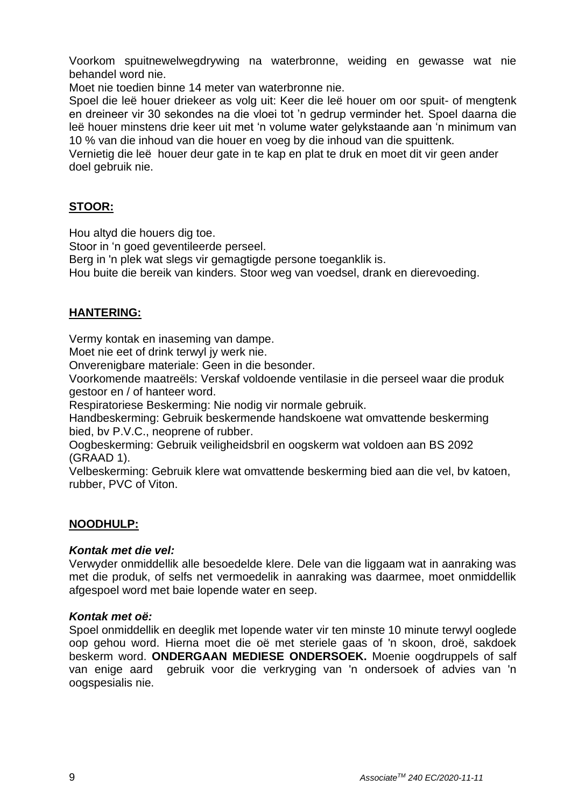Voorkom spuitnewelwegdrywing na waterbronne, weiding en gewasse wat nie behandel word nie.

Moet nie toedien binne 14 meter van waterbronne nie.

Spoel die leë houer driekeer as volg uit: Keer die leë houer om oor spuit- of mengtenk en dreineer vir 30 sekondes na die vloei tot 'n gedrup verminder het. Spoel daarna die leë houer minstens drie keer uit met 'n volume water gelykstaande aan 'n minimum van 10 % van die inhoud van die houer en voeg by die inhoud van die spuittenk.

Vernietig die leë houer deur gate in te kap en plat te druk en moet dit vir geen ander doel gebruik nie.

# **STOOR:**

Hou altyd die houers dig toe.

Stoor in 'n goed geventileerde perseel.

Berg in 'n plek wat slegs vir gemagtigde persone toeganklik is.

Hou buite die bereik van kinders. Stoor weg van voedsel, drank en dierevoeding.

# **HANTERING:**

Vermy kontak en inaseming van dampe.

Moet nie eet of drink terwyl jy werk nie.

Onverenigbare materiale: Geen in die besonder.

Voorkomende maatreëls: Verskaf voldoende ventilasie in die perseel waar die produk gestoor en / of hanteer word.

Respiratoriese Beskerming: Nie nodig vir normale gebruik.

Handbeskerming: Gebruik beskermende handskoene wat omvattende beskerming bied, bv P.V.C., neoprene of rubber.

Oogbeskerming: Gebruik veiligheidsbril en oogskerm wat voldoen aan BS 2092 (GRAAD 1).

Velbeskerming: Gebruik klere wat omvattende beskerming bied aan die vel, bv katoen, rubber, PVC of Viton.

# **NOODHULP:**

# *Kontak met die vel:*

Verwyder onmiddellik alle besoedelde klere. Dele van die liggaam wat in aanraking was met die produk, of selfs net vermoedelik in aanraking was daarmee, moet onmiddellik afgespoel word met baie lopende water en seep.

# *Kontak met oë:*

Spoel onmiddellik en deeglik met lopende water vir ten minste 10 minute terwyl ooglede oop gehou word. Hierna moet die oë met steriele gaas of 'n skoon, droë, sakdoek beskerm word. **ONDERGAAN MEDIESE ONDERSOEK.** Moenie oogdruppels of salf van enige aard gebruik voor die verkryging van 'n ondersoek of advies van 'n oogspesialis nie.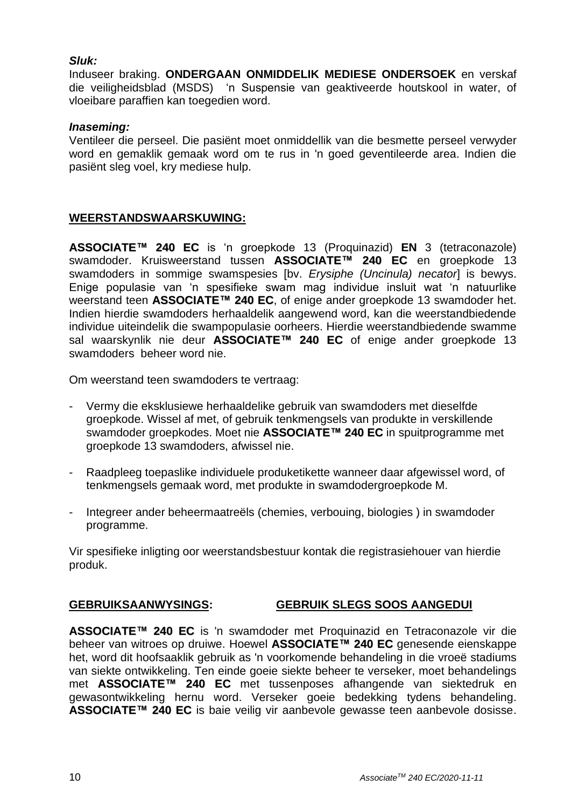# *Sluk:*

Induseer braking. **ONDERGAAN ONMIDDELIK MEDIESE ONDERSOEK** en verskaf die veiligheidsblad (MSDS) 'n Suspensie van geaktiveerde houtskool in water, of vloeibare paraffien kan toegedien word.

# *Inaseming:*

Ventileer die perseel. Die pasiënt moet onmiddellik van die besmette perseel verwyder word en gemaklik gemaak word om te rus in 'n goed geventileerde area. Indien die pasiënt sleg voel, kry mediese hulp.

# **WEERSTANDSWAARSKUWING:**

**ASSOCIATE™ 240 EC** is 'n groepkode 13 (Proquinazid) **EN** 3 (tetraconazole) swamdoder. Kruisweerstand tussen **ASSOCIATE™ 240 EC** en groepkode 13 swamdoders in sommige swamspesies [bv. *Erysiphe (Uncinula) necator*] is bewys. Enige populasie van 'n spesifieke swam mag individue insluit wat 'n natuurlike weerstand teen **ASSOCIATE™ 240 EC**, of enige ander groepkode 13 swamdoder het. Indien hierdie swamdoders herhaaldelik aangewend word, kan die weerstandbiedende individue uiteindelik die swampopulasie oorheers. Hierdie weerstandbiedende swamme sal waarskynlik nie deur **ASSOCIATE™ 240 EC** of enige ander groepkode 13 swamdoders beheer word nie.

Om weerstand teen swamdoders te vertraag:

- Vermy die eksklusiewe herhaaldelike gebruik van swamdoders met dieselfde groepkode. Wissel af met, of gebruik tenkmengsels van produkte in verskillende swamdoder groepkodes. Moet nie **ASSOCIATE™ 240 EC** in spuitprogramme met groepkode 13 swamdoders, afwissel nie.
- Raadpleeg toepaslike individuele produketikette wanneer daar afgewissel word, of tenkmengsels gemaak word, met produkte in swamdodergroepkode M.
- Integreer ander beheermaatreëls (chemies, verbouing, biologies ) in swamdoder programme.

Vir spesifieke inligting oor weerstandsbestuur kontak die registrasiehouer van hierdie produk.

# **GEBRUIKSAANWYSINGS: GEBRUIK SLEGS SOOS AANGEDUI**

**ASSOCIATE™ 240 EC** is 'n swamdoder met Proquinazid en Tetraconazole vir die beheer van witroes op druiwe. Hoewel **ASSOCIATE™ 240 EC** genesende eienskappe het, word dit hoofsaaklik gebruik as 'n voorkomende behandeling in die vroeë stadiums van siekte ontwikkeling. Ten einde goeie siekte beheer te verseker, moet behandelings met **ASSOCIATE™ 240 EC** met tussenposes afhangende van siektedruk en gewasontwikkeling hernu word. Verseker goeie bedekking tydens behandeling. **ASSOCIATE™ 240 EC** is baie veilig vir aanbevole gewasse teen aanbevole dosisse.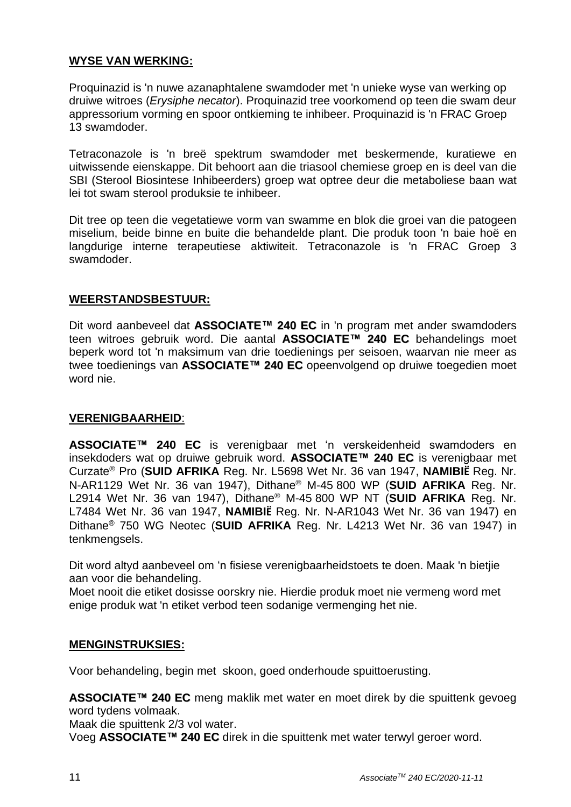# **WYSE VAN WERKING:**

Proquinazid is 'n nuwe azanaphtalene swamdoder met 'n unieke wyse van werking op druiwe witroes (*Erysiphe necator*). Proquinazid tree voorkomend op teen die swam deur appressorium vorming en spoor ontkieming te inhibeer. Proquinazid is 'n FRAC Groep 13 swamdoder.

Tetraconazole is 'n breë spektrum swamdoder met beskermende, kuratiewe en uitwissende eienskappe. Dit behoort aan die triasool chemiese groep en is deel van die SBI (Sterool Biosintese Inhibeerders) groep wat optree deur die metaboliese baan wat lei tot swam sterool produksie te inhibeer.

Dit tree op teen die vegetatiewe vorm van swamme en blok die groei van die patogeen miselium, beide binne en buite die behandelde plant. Die produk toon 'n baie hoë en langdurige interne terapeutiese aktiwiteit. Tetraconazole is 'n FRAC Groep 3 swamdoder.

# **WEERSTANDSBESTUUR:**

Dit word aanbeveel dat **ASSOCIATE™ 240 EC** in 'n program met ander swamdoders teen witroes gebruik word. Die aantal **ASSOCIATE™ 240 EC** behandelings moet beperk word tot 'n maksimum van drie toedienings per seisoen, waarvan nie meer as twee toedienings van **ASSOCIATE™ 240 EC** opeenvolgend op druiwe toegedien moet word nie.

# **VERENIGBAARHEID**:

**ASSOCIATE™ 240 EC** is verenigbaar met 'n verskeidenheid swamdoders en insekdoders wat op druiwe gebruik word. **ASSOCIATE™ 240 EC** is verenigbaar met Curzate® Pro (**SUID AFRIKA** Reg. Nr. L5698 Wet Nr. 36 van 1947, **NAMIBIË** Reg. Nr. N-AR1129 Wet Nr. 36 van 1947), Dithane® M-45 800 WP (**SUID AFRIKA** Reg. Nr. L2914 Wet Nr. 36 van 1947), Dithane® M-45 800 WP NT (**SUID AFRIKA** Reg. Nr. L7484 Wet Nr. 36 van 1947, **NAMIBIË** Reg. Nr. N-AR1043 Wet Nr. 36 van 1947) en Dithane® 750 WG Neotec (**SUID AFRIKA** Reg. Nr. L4213 Wet Nr. 36 van 1947) in tenkmengsels.

Dit word altyd aanbeveel om 'n fisiese verenigbaarheidstoets te doen. Maak 'n bietjie aan voor die behandeling.

Moet nooit die etiket dosisse oorskry nie. Hierdie produk moet nie vermeng word met enige produk wat 'n etiket verbod teen sodanige vermenging het nie.

# **MENGINSTRUKSIES:**

Voor behandeling, begin met skoon, goed onderhoude spuittoerusting.

**ASSOCIATE™ 240 EC** meng maklik met water en moet direk by die spuittenk gevoeg word tydens volmaak.

Maak die spuittenk 2/3 vol water.

Voeg **ASSOCIATE™ 240 EC** direk in die spuittenk met water terwyl geroer word.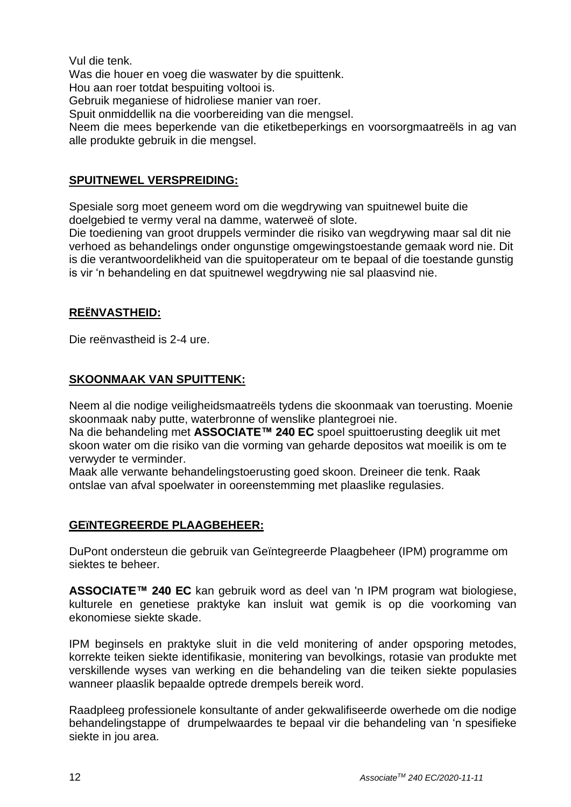Vul die tenk.

Was die houer en voeg die waswater by die spuittenk.

Hou aan roer totdat bespuiting voltooi is.

Gebruik meganiese of hidroliese manier van roer.

Spuit onmiddellik na die voorbereiding van die mengsel.

Neem die mees beperkende van die etiketbeperkings en voorsorgmaatreëls in ag van alle produkte gebruik in die mengsel.

# **SPUITNEWEL VERSPREIDING:**

Spesiale sorg moet geneem word om die wegdrywing van spuitnewel buite die doelgebied te vermy veral na damme, waterweë of slote.

Die toediening van groot druppels verminder die risiko van wegdrywing maar sal dit nie verhoed as behandelings onder ongunstige omgewingstoestande gemaak word nie. Dit is die verantwoordelikheid van die spuitoperateur om te bepaal of die toestande gunstig is vir 'n behandeling en dat spuitnewel wegdrywing nie sal plaasvind nie.

# **REËNVASTHEID:**

Die reënvastheid is 2-4 ure.

# **SKOONMAAK VAN SPUITTENK:**

Neem al die nodige veiligheidsmaatreëls tydens die skoonmaak van toerusting. Moenie skoonmaak naby putte, waterbronne of wenslike plantegroei nie.

Na die behandeling met **ASSOCIATE™ 240 EC** spoel spuittoerusting deeglik uit met skoon water om die risiko van die vorming van geharde depositos wat moeilik is om te verwyder te verminder.

Maak alle verwante behandelingstoerusting goed skoon. Dreineer die tenk. Raak ontslae van afval spoelwater in ooreenstemming met plaaslike regulasies.

# **GEïNTEGREERDE PLAAGBEHEER:**

DuPont ondersteun die gebruik van Geïntegreerde Plaagbeheer (IPM) programme om siektes te beheer.

**ASSOCIATE™ 240 EC** kan gebruik word as deel van 'n IPM program wat biologiese, kulturele en genetiese praktyke kan insluit wat gemik is op die voorkoming van ekonomiese siekte skade.

IPM beginsels en praktyke sluit in die veld monitering of ander opsporing metodes, korrekte teiken siekte identifikasie, monitering van bevolkings, rotasie van produkte met verskillende wyses van werking en die behandeling van die teiken siekte populasies wanneer plaaslik bepaalde optrede drempels bereik word.

Raadpleeg professionele konsultante of ander gekwalifiseerde owerhede om die nodige behandelingstappe of drumpelwaardes te bepaal vir die behandeling van 'n spesifieke siekte in jou area.